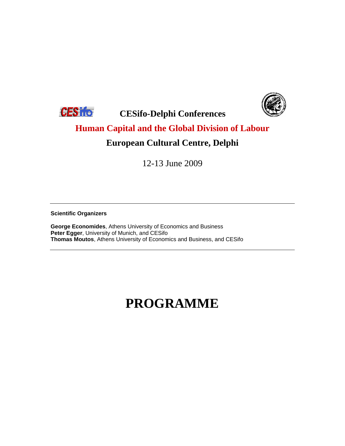



**CESIFE** CESifo-Delphi Conferences

### **Human Capital and the Global Division of Labour**

#### **European Cultural Centre, Delphi**

12-13 June 2009

**Scientific Organizers**

**George Economides**, Athens University of Economics and Business **Peter Egger**, University of Munich, and CESifo **Thomas Moutos**, Athens University of Economics and Business, and CESifo

# **PROGRAMME**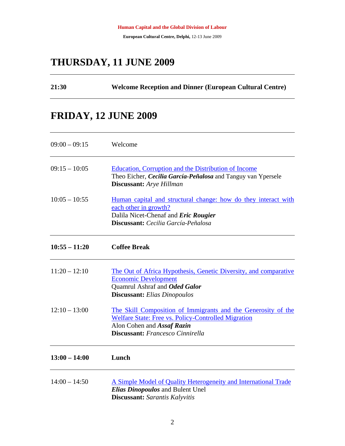#### **THURSDAY, 11 JUNE 2009**

| <b>Welcome Reception and Dinner (European Cultural Centre)</b> | 21:30 |  |  |  |
|----------------------------------------------------------------|-------|--|--|--|
|----------------------------------------------------------------|-------|--|--|--|

#### **FRIDAY, 12 JUNE 2009**

| $09:00 - 09:15$ | Welcome                                                                                                                                                                                              |
|-----------------|------------------------------------------------------------------------------------------------------------------------------------------------------------------------------------------------------|
| $09:15 - 10:05$ | <b>Education, Corruption and the Distribution of Income</b><br>Theo Eicher, Cecilia García-Peñalosa and Tanguy van Ypersele<br>Discussant: Arye Hillman                                              |
| $10:05 - 10:55$ | Human capital and structural change: how do they interact with<br>each other in growth?<br>Dalila Nicet-Chenaf and Eric Rougier<br>Discussant: Cecilia García-Peñalosa                               |
| $10:55 - 11:20$ | <b>Coffee Break</b>                                                                                                                                                                                  |
| $11:20 - 12:10$ | The Out of Africa Hypothesis, Genetic Diversity, and comparative<br><b>Economic Development</b><br>Quamrul Ashraf and Oded Galor<br><b>Discussant:</b> Elias Dinopoulos                              |
| $12:10 - 13:00$ | The Skill Composition of Immigrants and the Generosity of the<br><b>Welfare State: Free vs. Policy-Controlled Migration</b><br>Alon Cohen and Assaf Razin<br><b>Discussant:</b> Francesco Cinnirella |
| $13:00 - 14:00$ | Lunch                                                                                                                                                                                                |
| $14:00 - 14:50$ | A Simple Model of Quality Heterogeneity and International Trade<br><b>Elias Dinopoulos and Bulent Unel</b><br><b>Discussant:</b> Sarantis Kalyvitis                                                  |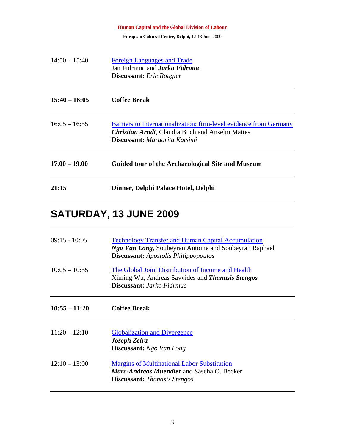|                 | <b>Human Capital and the Global Division of Labour</b>                                                                                                        |
|-----------------|---------------------------------------------------------------------------------------------------------------------------------------------------------------|
|                 | European Cultural Centre, Delphi, 12-13 June 2009                                                                                                             |
| $14:50 - 15:40$ | <b>Foreign Languages and Trade</b><br>Jan Fidrmuc and <i>Jarko Fidrmuc</i><br><b>Discussant:</b> Eric Rougier                                                 |
| $15:40 - 16:05$ | <b>Coffee Break</b>                                                                                                                                           |
| $16:05 - 16:55$ | Barriers to Internationalization: firm-level evidence from Germany<br><b>Christian Arndt, Claudia Buch and Anselm Mattes</b><br>Discussant: Margarita Katsimi |
| $17.00 - 19.00$ | Guided tour of the Archaeological Site and Museum                                                                                                             |
| 21:15           | Dinner, Delphi Palace Hotel, Delphi                                                                                                                           |

## **SATURDAY, 13 JUNE 2009**

| $09:15 - 10:05$ | <b>Technology Transfer and Human Capital Accumulation</b><br>Ngo Van Long, Soubeyran Antoine and Soubeyran Raphael<br><b>Discussant:</b> Apostolis Philippopoulos |
|-----------------|-------------------------------------------------------------------------------------------------------------------------------------------------------------------|
| $10:05 - 10:55$ | The Global Joint Distribution of Income and Health<br>Ximing Wu, Andreas Savvides and <i>Thanasis Stengos</i><br><b>Discussant:</b> <i>Jarko Fidrmuc</i>          |
| $10:55 - 11:20$ | <b>Coffee Break</b>                                                                                                                                               |
| $11:20 - 12:10$ | <b>Globalization and Divergence</b><br>Joseph Zeira<br><b>Discussant:</b> Ngo Van Long                                                                            |
| $12:10 - 13:00$ | <b>Margins of Multinational Labor Substitution</b><br><i>Marc-Andreas Muendler</i> and Sascha O. Becker<br><b>Discussant:</b> Thanasis Stengos                    |